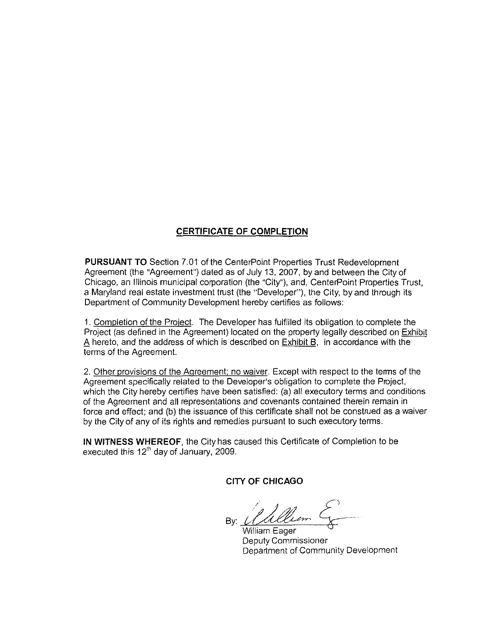# **CERTIFICATE OF COMPLETION**

**PURSUANT TO** Section 7.01 of the CenterPoint Properties Trust Redevelopment Agreement (the "Agreement") dated as of July 13, 2007, by and between the City of Chicago, an Illinois municipal corporation (the "City"), and, CenterPoint Properties Trust, a Maryland real estate investment trust (the "Developer"), the City, by and through its Department of Community Development hereby certifies as follows:

1. Completion of the Project. The Developer has fulfilled its obligation to complete the Project (as defined in the Agreement) located on the property legally described on Exhibit  $\overline{A}$  hereto, and the address of which is described on Exhibit B, in accordance with the terms of the Agreement

2. Other provisions of the Agreement: no waiver. Except with respect to the terms of the Agreement specifically related to the Developer's obligation to complete the Project, which the City hereby certifies have been satisfied: (a) all executory terms and conditions of the Agreement and all representations and covenants contained therein remain in force and effect; and (b) the issuance of this certificate shall not be construed as a waiver by the City of any of its rights and remedies pursuant to such executory terms.

**IN WITNESS WHEREOF,** the City has caused this Certificate of Completion to be executed this 12'h day of January, 2009.

**CITY OF CHICAGO** 

By: /~ */* ~ --

William Eager Deputy Commissioner Department of Community Development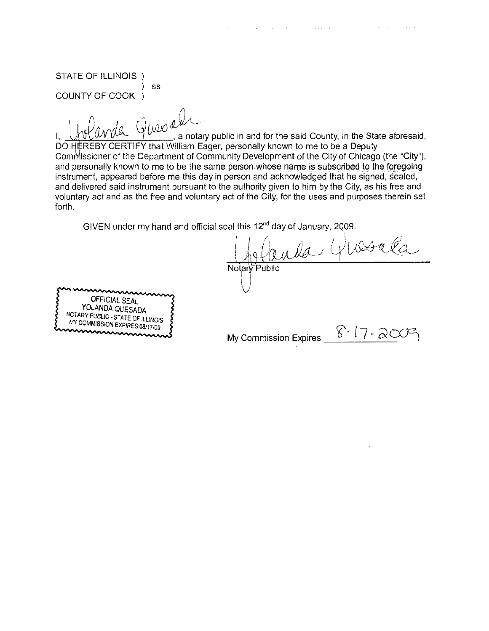STATE OF ILLINOIS ) ss COUNTY OF COOK

 $4a$  Queo

1,  $\bigcup_{i} \bigcup_{i} \bigcup_{i} \bigcup_{i} \bigcup_{i} \bigcup_{i} \bigcup_{i} \bigcup_{i} \bigcup_{i} \bigcup_{i} \bigcup_{i} \bigcup_{i} \bigcup_{i} \bigcup_{i} \bigcup_{i} \bigcup_{i} \bigcup_{i} \bigcup_{i} \bigcup_{i} \bigcup_{i} \bigcup_{i} \bigcup_{i} \bigcup_{i} \bigcup_{i} \bigcup_{i} \bigcup_{i} \bigcup_{i} \bigcup_{i} \bigcup_{i} \bigcup_{i} \bigcup_{i} \bigcup_{i} \bigcup_{i} \bigcup_{i} \bigcup_{i} \bigcup_{i} \$ DO HEREBY CERTIFY that William Eager, personally known to me to be a Deputy Commissioner of the Department of Community Development of the City of Chicago (the "City"), and personally known to me to be the same person whose name is subscribed to the foregoing instrument, appeared before me this day in person and acknowledged that he signed, sealed, and delivered said instrument pursuant to the authority given to him by the City, as his free and voluntary act and as the free and voluntary act of the City, for the uses and purposes therein set forth.

GIVEN under my hand and official seal this 12"d day of January, 2009.

 $u$ da Glosala Notary Public

ال<br>الأولية الأولية

OFFICIAL SEAL YOLANDA QUESADA NOTARY PUBLIC - STATE OF IlLINOIS MY COMMISSION EXPIRES:08/17/09

 $8 - 17 - 20$ My Commission Expires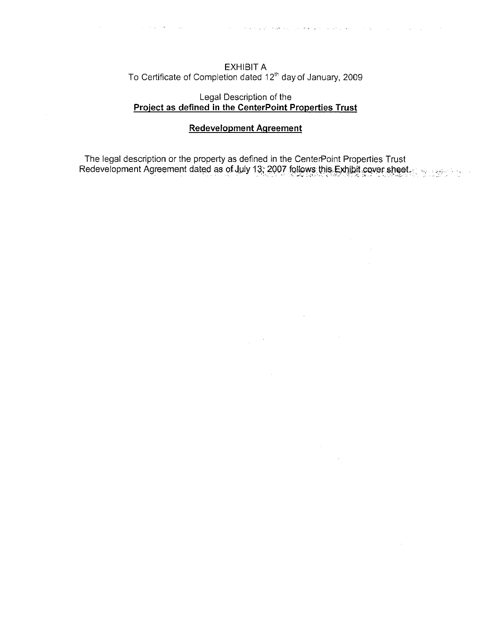EXHIBIT A<br>To Certificate of Completion dated 12<sup>th</sup> day of January, 2009

# Legal Description of the Project as defined in the CenterPoint Properties Trust

#### **Redevelopment Agreement**

 $\mathcal{L}_{\mathrm{eff}}$ 

 $\sim 10^{-1}$ 

 $\sim$ 

The legal description or the property as defined in the CenterPoint Properties Trust Redevelopment Agreement dated as of July 13; 2007 follows this Exhibit cover sheet

nico de la comunicación de la constitución de la constitución de la constitución de la constitución de la const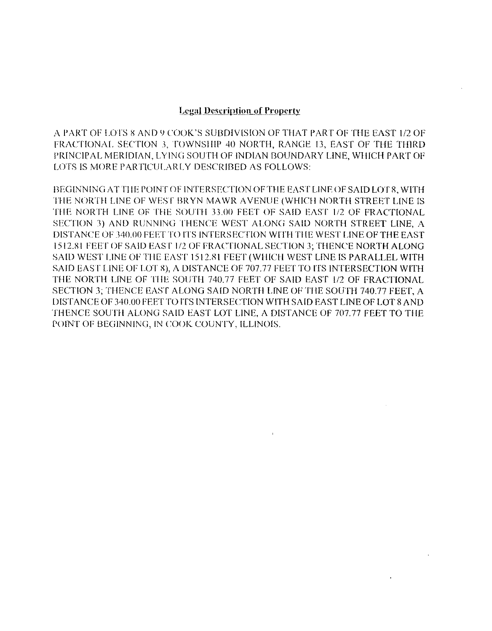## **Legal Description of Property**

A PART OF LOTS 8 AND 9 COOK'S SUBDIVISION OF THAT PART OF THE EAST 1/2 OF FRACTIONAL SECTION 3, TOWNSHIP 40 NORTH, RANGE 13, EAST OF THE THIRD PRINCIPAL MERIDIAN, LYING SOUTH OF INDIAN BOUNDARY LINE, WHICH PART OF LOTS IS MORE PARTICULARLY DESCRIBED AS FOLLOWS:

BEGINNING ATTIIE POINT OF INTERSECTION OF THE EAST LINE OF SAID LOTR, WITH HIE NORTH LINE OF WEST BRYN MAWR A VENUE (WHICH NORTH STREET LINE IS TilE NORTH LINE OF THE SOUTH 33.00 FEET OF SAID EAST 1/2 OF FRACTIONAL SECTION 3) AND RUNNING THENCE WEST ALONG SAID NORTH STREET LINE, A DISTANCE OF 340.00 FEET TO ITS INTERSECTION WITH THE WEST LINE OF THE FAST 1512.81 FEET OF SAID EAST 1/2 OF FRACTIONAL SECTION 3; THENCE NORTH ALONG SAID WEST LINE OF THE EAST 1512.81 FEET (WHICH WEST LINE IS PARALLEL WITH SAID EAST LINE OF LOT 8), A DISTANCE OF 707.77 FEET TO ITS INTERSECTION WITH THE NORTH LINE OF TilE SOUTH 740.77 FEET OF SAID EAST 112 OF FRACTIONAL SECTION 3; THENCE EAST ALONG SAID NORTH UNE OF TilE SOUTH 740.77 FEET, A DISTANCE OF 340.00 FEET TO ITS INTERSECTION WITH SAID EAST LINE OF LOT 8 AND THENCE SOUTH ALONG SAID EAST LOT LINE, A DISTANCE OF 707.77 FEET TO TilE POINT OF BEGINNING, IN COOK COUNTY, ILLINOIS.